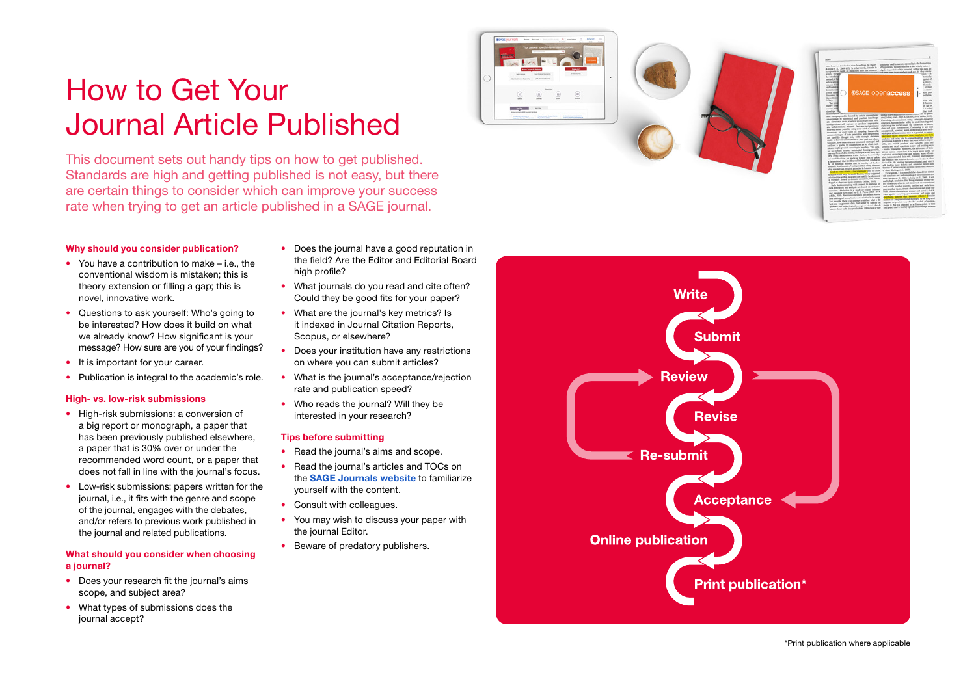# How to Get Your Journal Article Published

This document sets out handy tips on how to get published. Standards are high and getting published is not easy, but there are certain things to consider which can improve your success rate when trying to get an article published in a SAGE journal.

#### Why should you consider publication?

- You have a contribution to make i.e., the conventional wisdom is mistaken; this is theory extension or filling a gap; this is novel, innovative work.
- Questions to ask yourself: Who's going to be interested? How does it build on what we already know? How significant is your message? How sure are you of your findings?
- It is important for your career.
- Publication is integral to the academic's role.

#### High- vs. low-risk submissions

- High-risk submissions: a conversion of a big report or monograph, a paper that has been previously published elsewhere, a paper that is 30% over or under the recommended word count, or a paper that does not fall in line with the journal's focus.
- Low-risk submissions: papers written for the journal, i.e., it fits with the genre and scope of the journal, engages with the debates, and/or refers to previous work published in the journal and related publications.

#### What should you consider when choosing a journal?

- Does your research fit the journal's aims scope, and subject area?
- What types of submissions does the journal accept?
- Does the journal have a good reputation in the field? Are the Editor and Editorial Board high profile?
- What journals do you read and cite often? Could they be good fits for your paper?
- What are the journal's key metrics? Is it indexed in Journal Citation Reports, Scopus, or elsewhere?
- Does your institution have any restrictions on where you can submit articles?
- What is the journal's acceptance/rejection rate and publication speed?
- Who reads the journal? Will they be interested in your research?

#### Tips before submitting

- Read the journal's aims and scope.
- Read the journal's articles and TOCs on the [SAGE Journals website](https://journals.sagepub.com) to familiarize yourself with the content.
- Consult with colleagues.
- You may wish to discuss your paper with the journal Editor.
- Beware of predatory publishers.



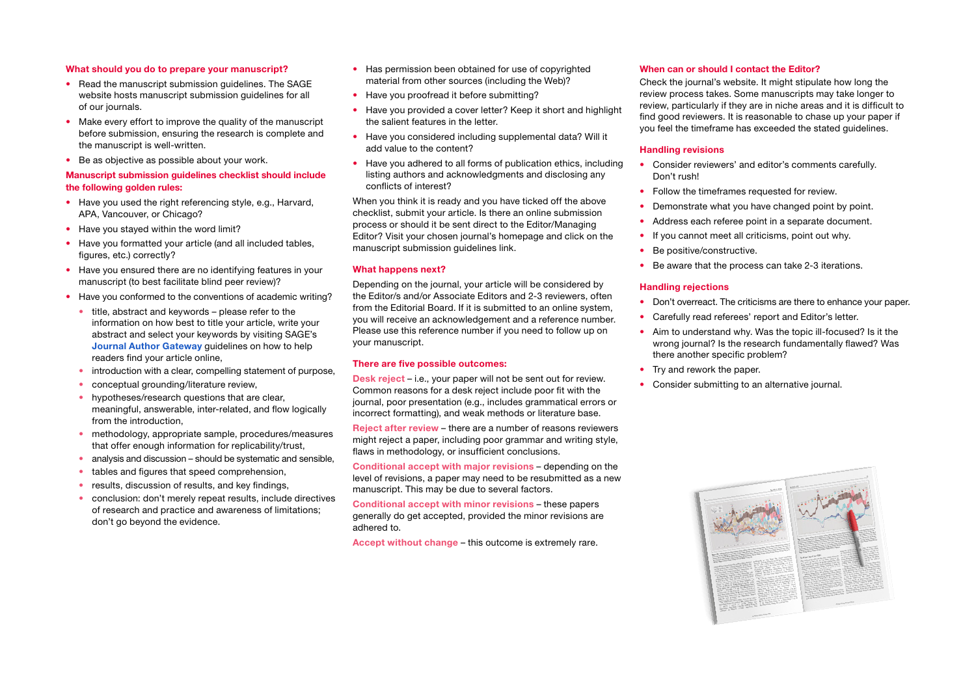#### What should you do to prepare your manuscript?

- Read the manuscript submission quidelines. The SAGE website hosts manuscript submission guidelines for all of our journals.
- Make every effort to improve the quality of the manuscript before submission, ensuring the research is complete and the manuscript is well-written.
- Be as objective as possible about your work.

#### Manuscript submission guidelines checklist should include the following golden rules:

- Have you used the right referencing style, e.g., Harvard, APA, Vancouver, or Chicago?
- Have you stayed within the word limit?
- Have you formatted your article (and all included tables, figures, etc.) correctly?
- Have you ensured there are no identifying features in your manuscript (to best facilitate blind peer review)?
- Have you conformed to the conventions of academic writing?
	- title, abstract and keywords please refer to the information on how best to title your article, write your abstract and select your keywords by visiting SAGE's [Journal Author Gateway](http://sagepub.com/authorgateway) guidelines on how to help readers find your article online,
	- introduction with a clear, compelling statement of purpose,
	- conceptual grounding/literature review,
	- hypotheses/research questions that are clear, meaningful, answerable, inter-related, and flow logically from the introduction,
	- methodology, appropriate sample, procedures/measures that offer enough information for replicability/trust,
	- analysis and discussion should be systematic and sensible,
	- tables and figures that speed comprehension,
	- results, discussion of results, and key findings,
	- conclusion: don't merely repeat results, include directives of research and practice and awareness of limitations; don't go beyond the evidence.
- Has permission been obtained for use of copyrighted material from other sources (including the Web)?
- Have you proofread it before submitting?
- Have you provided a cover letter? Keep it short and highlight the salient features in the letter.
- Have you considered including supplemental data? Will it add value to the content?
- Have you adhered to all forms of publication ethics, including listing authors and acknowledgments and disclosing any conflicts of interest?

When you think it is ready and you have ticked off the above checklist, submit your article. Is there an online submission process or should it be sent direct to the Editor/Managing Editor? Visit your chosen journal's homepage and click on the manuscript submission quidelines link.

#### What happens next?

Depending on the journal, your article will be considered by the Editor/s and/or Associate Editors and 2-3 reviewers, often from the Editorial Board. If it is submitted to an online system, you will receive an acknowledgement and a reference number. Please use this reference number if you need to follow up on your manuscript.

#### There are five possible outcomes:

Desk reject – i.e., your paper will not be sent out for review. Common reasons for a desk reject include poor fit with the journal, poor presentation (e.g., includes grammatical errors or incorrect formatting), and weak methods or literature base.

Reject after review – there are a number of reasons reviewers might reject a paper, including poor grammar and writing style, flaws in methodology, or insufficient conclusions.

Conditional accept with major revisions – depending on the level of revisions, a paper may need to be resubmitted as a new manuscript. This may be due to several factors.

Conditional accept with minor revisions – these papers generally do get accepted, provided the minor revisions are adhered to.

Accept without change – this outcome is extremely rare.

#### When can or should I contact the Editor?

Check the journal's website. It might stipulate how long the review process takes. Some manuscripts may take longer to review, particularly if they are in niche areas and it is difficult to find good reviewers. It is reasonable to chase up your paper if you feel the timeframe has exceeded the stated guidelines.

#### Handling revisions

- Consider reviewers' and editor's comments carefully. Don't rush!
- Follow the timeframes requested for review.
- Demonstrate what you have changed point by point.
- Address each referee point in a separate document.
- If you cannot meet all criticisms, point out why.
- Be positive/constructive.
- Be aware that the process can take 2-3 iterations.

#### Handling rejections

- Don't overreact. The criticisms are there to enhance your paper.
- Carefully read referees' report and Editor's letter.
- Aim to understand why. Was the topic ill-focused? Is it the wrong journal? Is the research fundamentally flawed? Was there another specific problem?
- Try and rework the paper.
- Consider submitting to an alternative journal.